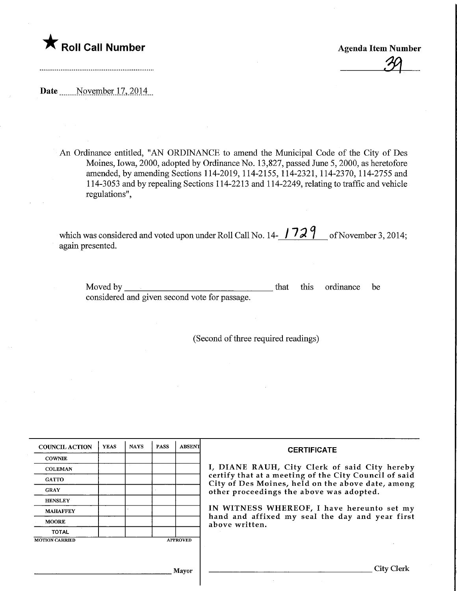

Agenda Item Number  $39$ 

Date Movember 17, 2014

An Ordinance entitled, "AN ORDINANCE to amend the Municipal Code of the City of Des Moines, Iowa, 2000, adopted by Ordinance No. 13,827, passed June 5,2000, as heretofore amended, by amending Sections 114-2019, 114-2155, 114-2321,114-2370, 114-2755 and 114-3053 and by repealing Sections 114-2213 and 114-2249, relating to traffic and vehicle regulations",

which was considered and voted upon under Roll Call No. 14- $\frac{1729}{}$  of November 3, 2014; again presented.

Moved by considered and given second vote for passage. that this ordinance be

(Second of three required readings)

| <b>COUNCIL ACTION</b> | <b>YEAS</b> | <b>NAYS</b> | <b>PASS</b> | <b>ABSENT</b>   | <b>CERTIFICATE</b><br>I, DIANE RAUH, City Clerk of said City hereby<br>certify that at a meeting of the City Council of said<br>City of Des Moines, held on the above date, among<br>other proceedings the above was adopted. |  |  |
|-----------------------|-------------|-------------|-------------|-----------------|-------------------------------------------------------------------------------------------------------------------------------------------------------------------------------------------------------------------------------|--|--|
| <b>COWNIE</b>         |             |             |             |                 |                                                                                                                                                                                                                               |  |  |
| <b>COLEMAN</b>        |             |             |             |                 |                                                                                                                                                                                                                               |  |  |
| <b>GATTO</b>          |             |             |             |                 |                                                                                                                                                                                                                               |  |  |
| <b>GRAY</b>           |             |             |             |                 |                                                                                                                                                                                                                               |  |  |
| <b>HENSLEY</b>        |             |             |             |                 | IN WITNESS WHEREOF, I have hereunto set my                                                                                                                                                                                    |  |  |
| <b>MAHAFFEY</b>       |             |             |             |                 |                                                                                                                                                                                                                               |  |  |
| <b>MOORE</b>          |             |             |             |                 | hand and affixed my seal the day and year first<br>above written.                                                                                                                                                             |  |  |
| <b>TOTAL</b>          |             |             |             |                 |                                                                                                                                                                                                                               |  |  |
| <b>MOTION CARRIED</b> |             |             |             | <b>APPROVED</b> |                                                                                                                                                                                                                               |  |  |
|                       |             |             |             |                 |                                                                                                                                                                                                                               |  |  |
|                       |             |             |             |                 |                                                                                                                                                                                                                               |  |  |
| <b>Mayor</b>          |             |             |             |                 |                                                                                                                                                                                                                               |  |  |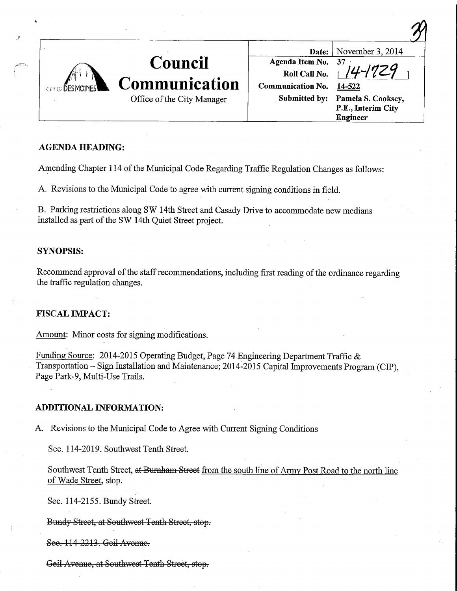

## AGENDA HEADING:

Amending Chapter 114 of the Municipal Code Regarding Traffic Regulation Changes as follows:

A. Revisions to the Municipal Code to agree with current signing conditions in field.

B. Parking restrictions along SW 14th Street and Casady Drive to accommodate new medians installed as part of the SW 14th Quiet Street project.

### SYNOPSIS:

Recommend approval of the staff recommendations, including first reading of the ordinance regarding the traffic regulation changes.

## FISCAL IMPACT:

Amount: Minor costs for signing modifications.

Funding Source: 2014-2015 Operating Budget, Page 74 Engineering Department Traffic & Transportation - Sign Installation and Maintenance; 2014-2015 Capital Improvements Program (CIP), Page Park-9, Multi-Use Trails.

## ADDITIONAL INFORMATION:

A. Revisions to the Municipal Code to Agree with Current Signing Conditions

Sec. 114-2019. Southwest Tenth Street.

Southwest Tenth Street, at Bumham Street from the south line of Army Post Road to the north line of Wade Street, stop.

Sec. 114-2155. Bundy Street.

Bundy Street, at Southwest Tenth Street, stop.

Sec. 114-2213. Geil Avenue.

Geil Avenue, at Southwest Tenth Street, stop.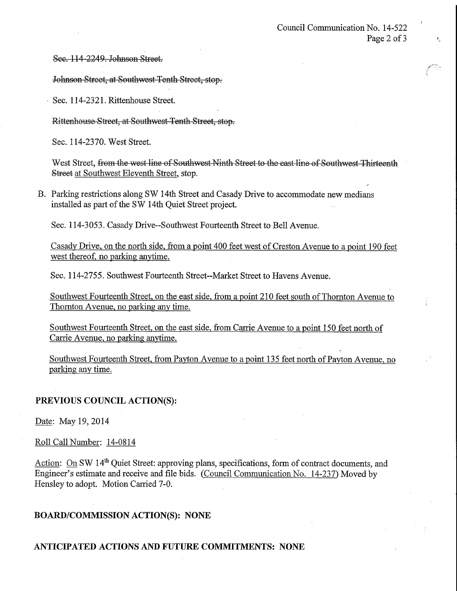See. 114-2249. Johnson Street.

Johnson Street, at Southwest Tenth Street, stop.

Sec. 114-2321. Rittenhouse Street.

Rittenhouse Street, at Southwest Tenth Street, stop.

Sec. 114-2370. West Street.

West Street, from the west line of Southwest Ninth Street to the east line of Southwest Thirteenth Street at Southwest Eleventh Street, stop.

B. Parking restrictions along SW 14th Street and Casady Drive to accommodate new medians installed as part of the SW 14th Quiet Street project.

Sec. 114-3053. Casady Drive-Southwest Fourteenth Street to Bell Avenue.

Casady Drive, on the north side, from a point 400 feet west of Creston Avenue to a point 190 feet west thereof, no parking anytime.

Sec. 114-2755. Southwest Fourteenth Street-Market Street to Havens Avenue.

Southwest Fourteenth Street, on the east side, from a point 210 feet south of Thornton Avenue to Thomton Avenue, no parking any time.

Southwest Fourteenth Street, on the east side, from Carrie Avenue to a point 150 feet north of Carrie Avenue, no parking anytime.

Southwest Fourteenth Street, from Payton Avenue to a point 135 feet north of Payton Avenue, no parking any time.

## PREVIOUS COUNCIL ACTION(S):

Date: May 19, 2014

Roll Call Number: 14-0814

Action: On SW 14<sup>th</sup> Quiet Street: approving plans, specifications, form of contract documents, and Engineer's estimate and receive and file bids. (Council Communication No. 14-237) Moved by Hensley to adopt. Motion Carried 7-0.

## BOARD/COMMISSIONACTION(S): NONE

## ANTICIPATED ACTIONS AND FUTURE COMMITMENTS: NONE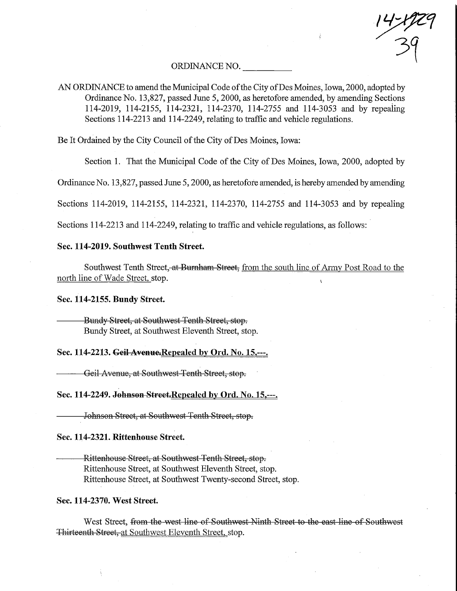# ORDINANCE NO.

AN ORDINANCE to amend the Municipal Code of the City of Des Moines, Iowa, 2000, adopted by Ordinance No. 13,827, passed June 5,2000, as heretofore amended, by amending Sections 114-2019, 114-2155, 114-2321, 114-2370, 114-2755 and 114-3053 and by repealing Sections 114-2213 and 114-2249, relating to traffic and vehicle regulations.

Be It Ordained by the City Council of the City of Des Moines, Iowa:

Section 1. That the Municipal Code of the City of Des Moines, Iowa, 2000, adopted by

 $\frac{1}{2}$ 

Ordinance No. 13,827, passed June 5,2000, as heretofore amended, is hereby amended by amending

Sections 114-2019, 114-2155, 114-2321, 114-2370, 114-2755 and 114-3053 and by repealing

Sections 114-2213 and 114-2249, relating to traffic and vehicle regulations, as follows:

## Sec. 114-2019. Southwest Tenth Street.

Southwest Tenth Street,-at Burnham Street, from the south line of Army Post Road to the north line of Wade Street. stop.

Sec. 114-2155. Bundy Street.

Bundy Street, at Southwest Tenth Street, stop. Bundy Street, at Southwest Eleventh Street, stop.

Sec. 114-2213. Geil Avenue.Repealed by Ord. No. 15,---.

Geil Avenue, at Southwest Tenth Street, stop.

Sec. 114-2249. Johnson Street.Repealed by Ord. No. 15,---.

Johnson Street, at Southwest Tenth Street, stop.

Sec. 114-2321. Rittenhouse Street.

Rittenhouse Street, at Southwest Tenth Street, stop. Rittenhouse Street, at Southwest Eleventh Street, stop. Rittenhouse Street, at Southwest Twenty-second Street, stop.

#### Sec. 114-2370. West Street.

West Street, from the west line of Southwest Ninth Street to the east line of Southwest Thirteenth Street, at Southwest Eleventh Street, stop.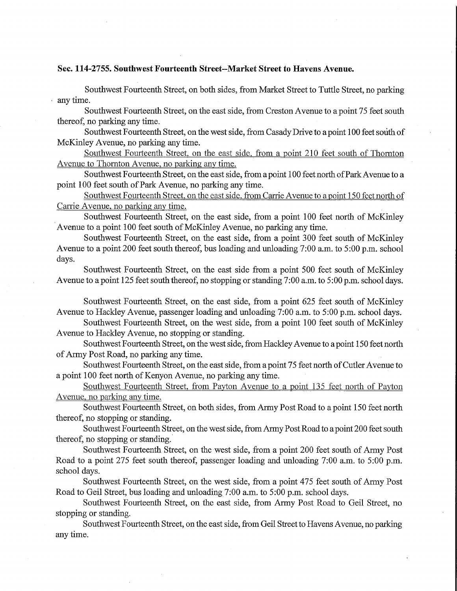#### Sec. 114-2755. Southwest Fourteenth Street-Market Street to Havens Avenue.

Southwest Fourteenth Street, on both sides, from Market Street to Tuttle Street, no parking any time.

Southwest Fourteenth Street, on the east side, from Creston Avenue to a point 75 feet south thereof, no parking any time.

Southwest Fourteenth Street, on the west side, from Casady Drive to a point 100 feet south of McKinley Avenue, no parking any time.

Southwest Fourteenth Street, on the east side. from a point 210 feet south of Thomton Avenue to Thornton Avenue, no parking any time.

Southwest Fourteenth Street, on the east side, from a point 100 feet north of Park Avenue to a point 100 feet south of Park Avenue, no parking any time.

Southwest Fourteenth Street, on the east side. from Carrie Avenue to a point 150 feet north of Carrie Avenue, no parking any time.

Southwest Fourteenth Street, on the east side, from a point 100 feet north of McKinley Avenue to a point 100 feet south of McKinley Avenue, no parking any time.

Southwest Fourteenth Street, on the east side, from a point 300 feet south of McKinley Avenue to a point 200 feet south thereof, bus loading and unloading 7:00 a.m. to 5:00 p.m. school days.

Southwest Fourteenth Street, on the east side from a point 500 feet south of McKinley Avenue to a point 125 feet south thereof, no stopping or standing 7:00 a.m. to 5:00 p.m. school days.

Southwest Fourteenth Street, on the east side, from a point 625 feet south of McKinley Avenue to Hackley Avenue, passenger loading and unloading 7:00 a.m. to 5:00 p.m. school days.

Southwest Fourteenth Street, on the west side, from a point 100 feet south of McKinley Avenue to Hackley Avenue, no stopping or standing.

Southwest Fourteenth Street, on the west side, from Hackley Avenue to a point 150 feet north of Army Post Road, no parking any time.

Southwest Fourteenth Street, on the east side, from a point 75 feet north of Cutler Avenue to a point 100 feet north of Kenyan Avenue, no parking any time.

Southwest Fourteenth Street, from Pavton Avenue to a point 135 feet north of Pavton Avenue, no parking any time.

Southwest Fourteenth Street, on both sides, from Army Post Road to a point 150 feet north thereof, no stopping or standing.

Southwest Fourteenth Street, on the west side, from Army Post Road to a point 200 feet south thereof, no stopping or standing.

Southwest Fourteenth Street, on the west side, from a point 200 feet south of Army Post Road to a point 275 feet south thereof, passenger loading and unloading 7:00 a.m. to 5:00 p.m. school days.

Southwest Fourteenth Street, on the west side, from a point 475 feet south of Army Post Road to Geil Street, bus loading and unloading 7:00 a.m. to 5:00 p.m. school days.

Southwest Fourteenth Street, on the east side, from Army Post Road to Geil Street, no stopping or standing.

Southwest Fourteenth Street, on the east side, from Geil Street to Havens Avenue, no parking any time.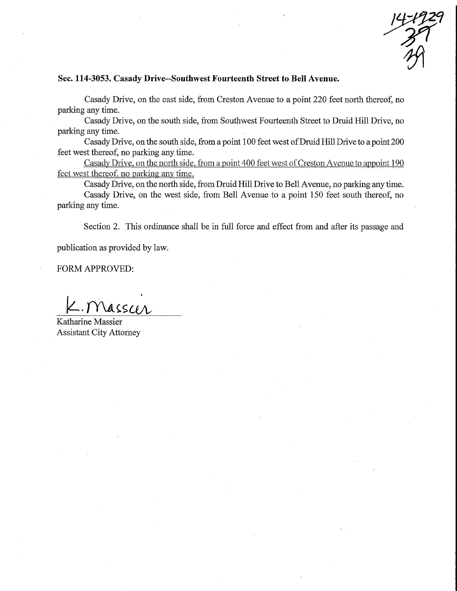$14 - 172$  $Z$ 

### Sec. 114-3053. Casady Drive-Southwest Fourteenth Street to Bell Avenue.

Casady Drive, on the east side, from Creston Avenue to a point 220 feet north thereof, no parking any time.

Casady Drive, on the south side, from Southwest Fourteenth Street to Druid Hill Drive, no parking any time.

Casady Drive, on the south side, from a point 100 feet west ofDruid Hill Drive to a point 200 feet west thereof, no parking any time.

Casady Drive, on the north side, from a point 400 feet west of Creston Avenue to appoint 190 feet west thereof, no parking any time.

Casady Drive, on the north side, from Druid Hill Drive to Bell Avenue, no parking any time. Casady Drive, on the west side, from Bell Avenue to a point 150 feet south thereof, no parking any time.

Section 2. This ordinance shall be in full force and effect from and after its passage and

publication as provided by law.

FORM APPROVED:

 $N$ ass $\alpha$ r

Katharine Massier Assistant City Attorney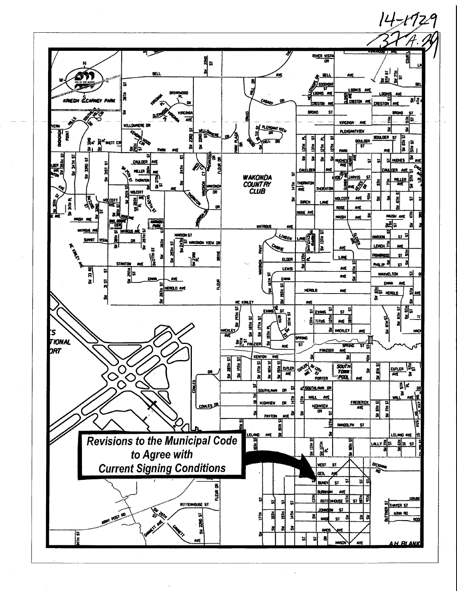